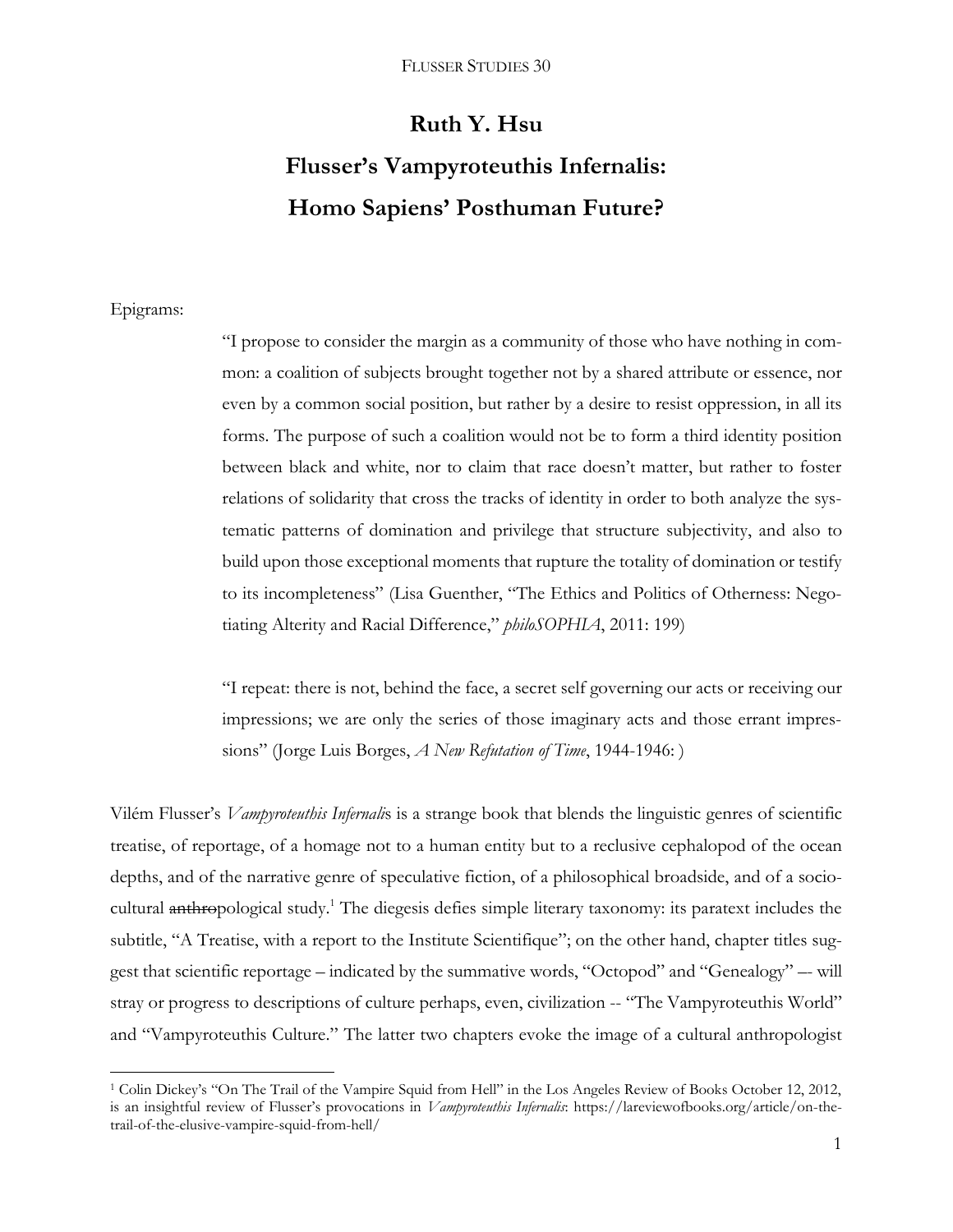# **Ruth Y. Hsu Flusser's Vampyroteuthis Infernalis: Homo Sapiens' Posthuman Future?**

## Epigrams:

 $\overline{a}$ 

"I propose to consider the margin as a community of those who have nothing in common: a coalition of subjects brought together not by a shared attribute or essence, nor even by a common social position, but rather by a desire to resist oppression, in all its forms. The purpose of such a coalition would not be to form a third identity position between black and white, nor to claim that race doesn't matter, but rather to foster relations of solidarity that cross the tracks of identity in order to both analyze the systematic patterns of domination and privilege that structure subjectivity, and also to build upon those exceptional moments that rupture the totality of domination or testify to its incompleteness" (Lisa Guenther, "The Ethics and Politics of Otherness: Negotiating Alterity and Racial Difference," *philoSOPHIA*, 2011: 199)

"I repeat: there is not, behind the face, a secret self governing our acts or receiving our impressions; we are only the series of those imaginary acts and those errant impressions" (Jorge Luis Borges, *A New Refutation of Time*, 1944-1946: )

Vilém Flusser's *Vampyroteuthis Infernali*s is a strange book that blends the linguistic genres of scientific treatise, of reportage, of a homage not to a human entity but to a reclusive cephalopod of the ocean depths, and of the narrative genre of speculative fiction, of a philosophical broadside, and of a sociocultural anthropological study.<sup>1</sup> The diegesis defies simple literary taxonomy: its paratext includes the subtitle, "A Treatise, with a report to the Institute Scientifique"; on the other hand, chapter titles suggest that scientific reportage – indicated by the summative words, "Octopod" and "Genealogy" –- will stray or progress to descriptions of culture perhaps, even, civilization -- "The Vampyroteuthis World" and "Vampyroteuthis Culture." The latter two chapters evoke the image of a cultural anthropologist

<sup>1</sup> Colin Dickey's "On The Trail of the Vampire Squid from Hell" in the Los Angeles Review of Books October 12, 2012, is an insightful review of Flusser's provocations in *Vampyroteuthis Infernalis*: https://lareviewofbooks.org/article/on-thetrail-of-the-elusive-vampire-squid-from-hell/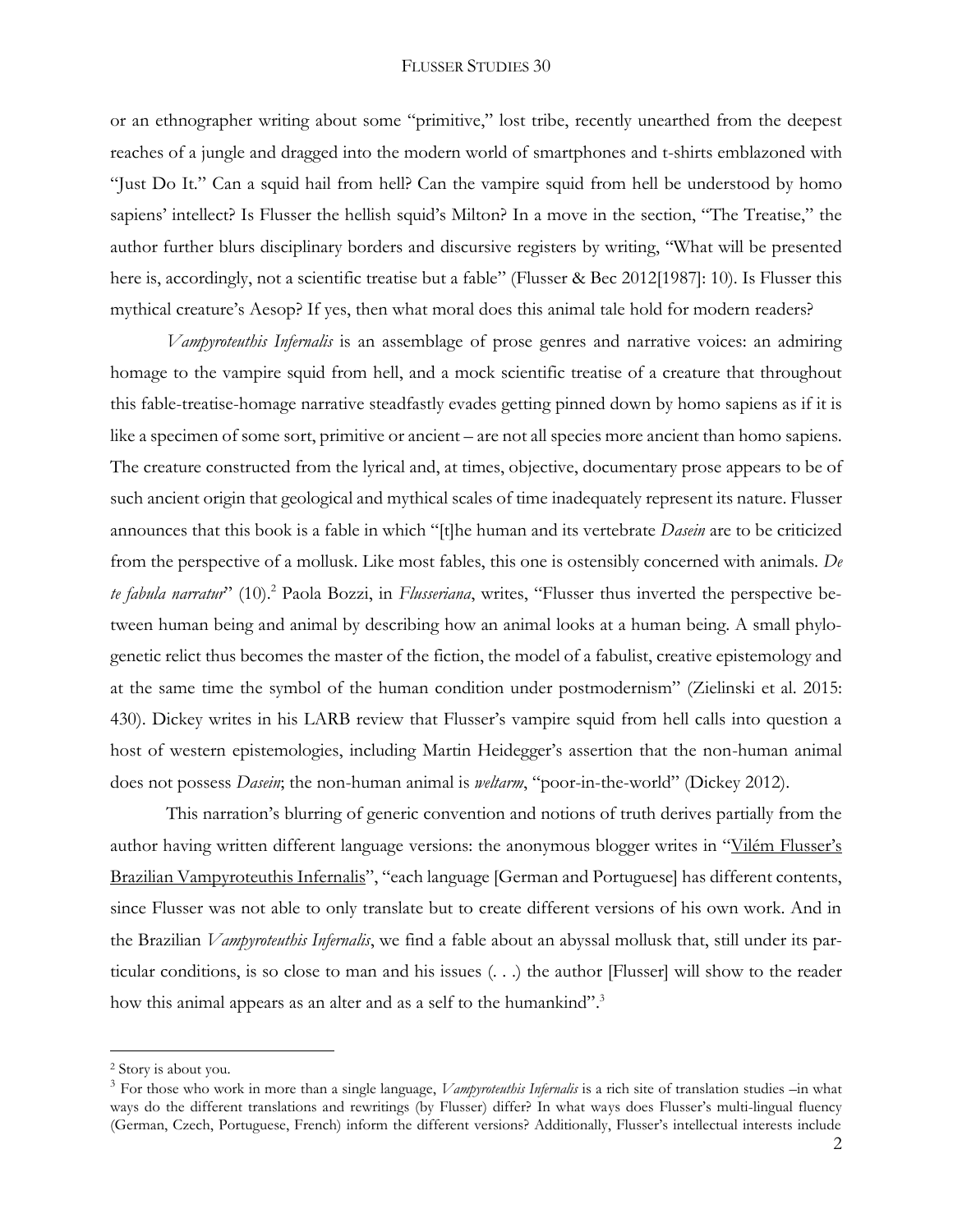or an ethnographer writing about some "primitive," lost tribe, recently unearthed from the deepest reaches of a jungle and dragged into the modern world of smartphones and t-shirts emblazoned with "Just Do It." Can a squid hail from hell? Can the vampire squid from hell be understood by homo sapiens' intellect? Is Flusser the hellish squid's Milton? In a move in the section, "The Treatise," the author further blurs disciplinary borders and discursive registers by writing, "What will be presented here is, accordingly, not a scientific treatise but a fable" (Flusser & Bec 2012[1987]: 10). Is Flusser this mythical creature's Aesop? If yes, then what moral does this animal tale hold for modern readers?

*Vampyroteuthis Infernalis* is an assemblage of prose genres and narrative voices: an admiring homage to the vampire squid from hell, and a mock scientific treatise of a creature that throughout this fable-treatise-homage narrative steadfastly evades getting pinned down by homo sapiens as if it is like a specimen of some sort, primitive or ancient – are not all species more ancient than homo sapiens. The creature constructed from the lyrical and, at times, objective, documentary prose appears to be of such ancient origin that geological and mythical scales of time inadequately represent its nature. Flusser announces that this book is a fable in which "[t]he human and its vertebrate *Dasein* are to be criticized from the perspective of a mollusk. Like most fables, this one is ostensibly concerned with animals. *De te fabula narratur*" (10).<sup>2</sup> Paola Bozzi, in *Flusseriana*, writes, "Flusser thus inverted the perspective between human being and animal by describing how an animal looks at a human being. A small phylogenetic relict thus becomes the master of the fiction, the model of a fabulist, creative epistemology and at the same time the symbol of the human condition under postmodernism" (Zielinski et al. 2015: 430). Dickey writes in his LARB review that Flusser's vampire squid from hell calls into question a host of western epistemologies, including Martin Heidegger's assertion that the non-human animal does not possess *Dasein*; the non-human animal is *weltarm*, "poor-in-the-world" (Dickey 2012).

This narration's blurring of generic convention and notions of truth derives partially from the author having written different language versions: the anonymous blogger writes in "Vilé[m Flusser's](https://kunstistkrieg.blogspot.com/2014/07/vilem-flussers-brazilian-vampyroteuthis.html)  [Brazilian Vampyroteuthis Infernalis](https://kunstistkrieg.blogspot.com/2014/07/vilem-flussers-brazilian-vampyroteuthis.html)", "each language [German and Portuguese] has different contents, since Flusser was not able to only translate but to create different versions of his own work. And in the Brazilian *Vampyroteuthis Infernalis*, we find a fable about an abyssal mollusk that, still under its particular conditions, is so close to man and his issues (. . .) the author [Flusser] will show to the reader how this animal appears as an alter and as a self to the humankind".<sup>3</sup>

<sup>2</sup> Story is about you.

<sup>3</sup> For those who work in more than a single language, *Vampyroteuthis Infernalis* is a rich site of translation studies –in what ways do the different translations and rewritings (by Flusser) differ? In what ways does Flusser's multi-lingual fluency (German, Czech, Portuguese, French) inform the different versions? Additionally, Flusser's intellectual interests include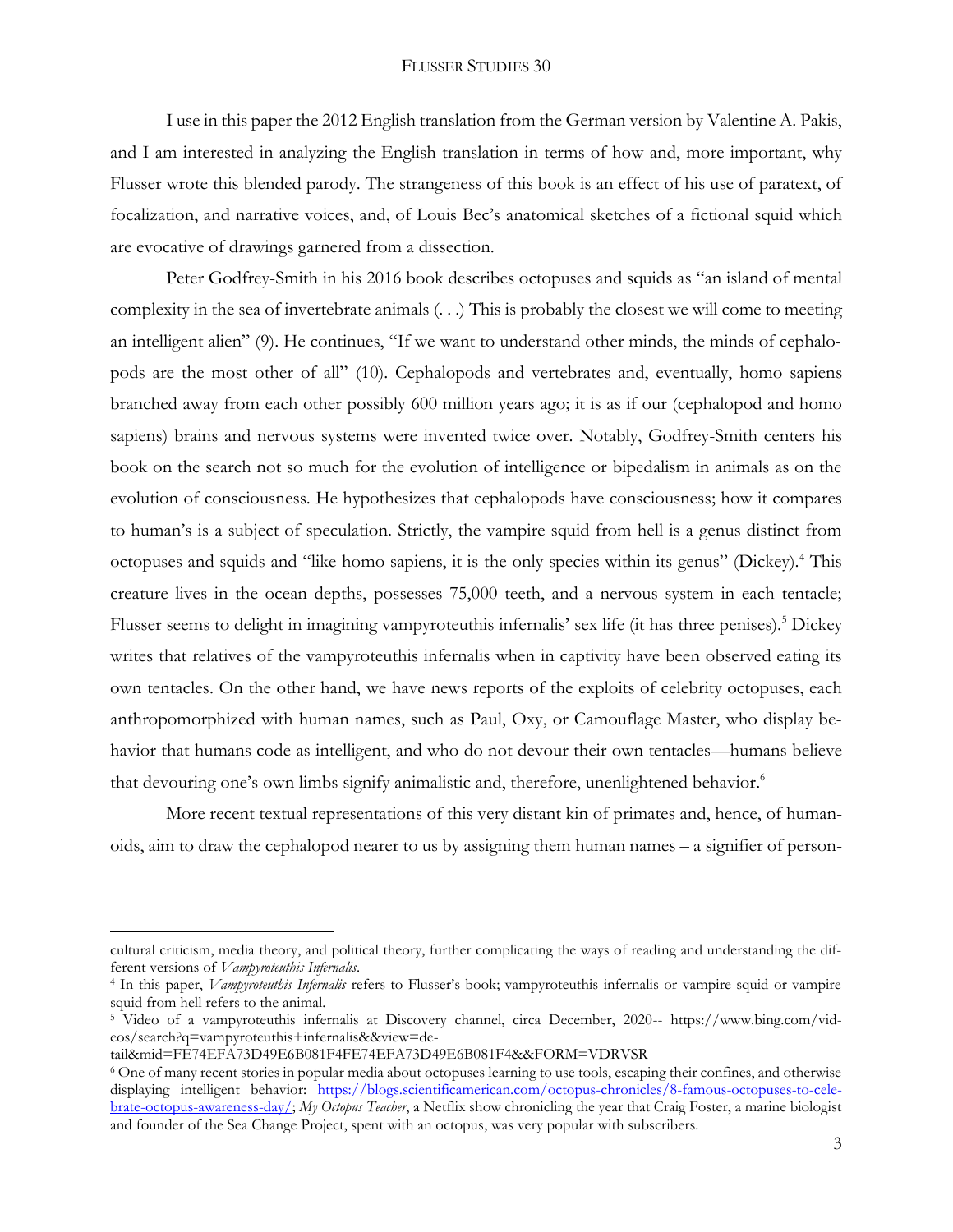I use in this paper the 2012 English translation from the German version by Valentine A. Pakis, and I am interested in analyzing the English translation in terms of how and, more important, why Flusser wrote this blended parody. The strangeness of this book is an effect of his use of paratext, of focalization, and narrative voices, and, of Louis Bec's anatomical sketches of a fictional squid which are evocative of drawings garnered from a dissection.

Peter Godfrey-Smith in his 2016 book describes octopuses and squids as "an island of mental complexity in the sea of invertebrate animals (. . .) This is probably the closest we will come to meeting an intelligent alien" (9). He continues, "If we want to understand other minds, the minds of cephalopods are the most other of all" (10). Cephalopods and vertebrates and, eventually, homo sapiens branched away from each other possibly 600 million years ago; it is as if our (cephalopod and homo sapiens) brains and nervous systems were invented twice over. Notably, Godfrey-Smith centers his book on the search not so much for the evolution of intelligence or bipedalism in animals as on the evolution of consciousness. He hypothesizes that cephalopods have consciousness; how it compares to human's is a subject of speculation. Strictly, the vampire squid from hell is a genus distinct from octopuses and squids and "like homo sapiens, it is the only species within its genus" (Dickey).<sup>4</sup> This creature lives in the ocean depths, possesses 75,000 teeth, and a nervous system in each tentacle; Flusser seems to delight in imagining vampyroteuthis infernalis' sex life (it has three penises).<sup>5</sup> Dickey writes that relatives of the vampyroteuthis infernalis when in captivity have been observed eating its own tentacles. On the other hand, we have news reports of the exploits of celebrity octopuses, each anthropomorphized with human names, such as Paul, Oxy, or Camouflage Master, who display behavior that humans code as intelligent, and who do not devour their own tentacles—humans believe that devouring one's own limbs signify animalistic and, therefore, unenlightened behavior.<sup>6</sup>

More recent textual representations of this very distant kin of primates and, hence, of humanoids, aim to draw the cephalopod nearer to us by assigning them human names – a signifier of person-

cultural criticism, media theory, and political theory, further complicating the ways of reading and understanding the different versions of *Vampyroteuthis Infernalis*.

<sup>4</sup> In this paper, *Vampyroteuthis Infernalis* refers to Flusser's book; vampyroteuthis infernalis or vampire squid or vampire squid from hell refers to the animal.

<sup>5</sup> Video of a vampyroteuthis infernalis at Discovery channel, circa December, 2020-- https://www.bing.com/videos/search?q=vampyroteuthis+infernalis&&view=de-

tail&mid=FE74EFA73D49E6B081F4FE74EFA73D49E6B081F4&&FORM=VDRVSR

<sup>6</sup> One of many recent stories in popular media about octopuses learning to use tools, escaping their confines, and otherwise displaying intelligent behavior: [https://blogs.scientificamerican.com/octopus-chronicles/8-famous-octopuses-to-cele](https://blogs.scientificamerican.com/octopus-chronicles/8-famous-octopuses-to-celebrate-octopus-awareness-day/)[brate-octopus-awareness-day/;](https://blogs.scientificamerican.com/octopus-chronicles/8-famous-octopuses-to-celebrate-octopus-awareness-day/) *My Octopus Teacher*, a Netflix show chronicling the year that Craig Foster, a marine biologist and founder of the Sea Change Project, spent with an octopus, was very popular with subscribers.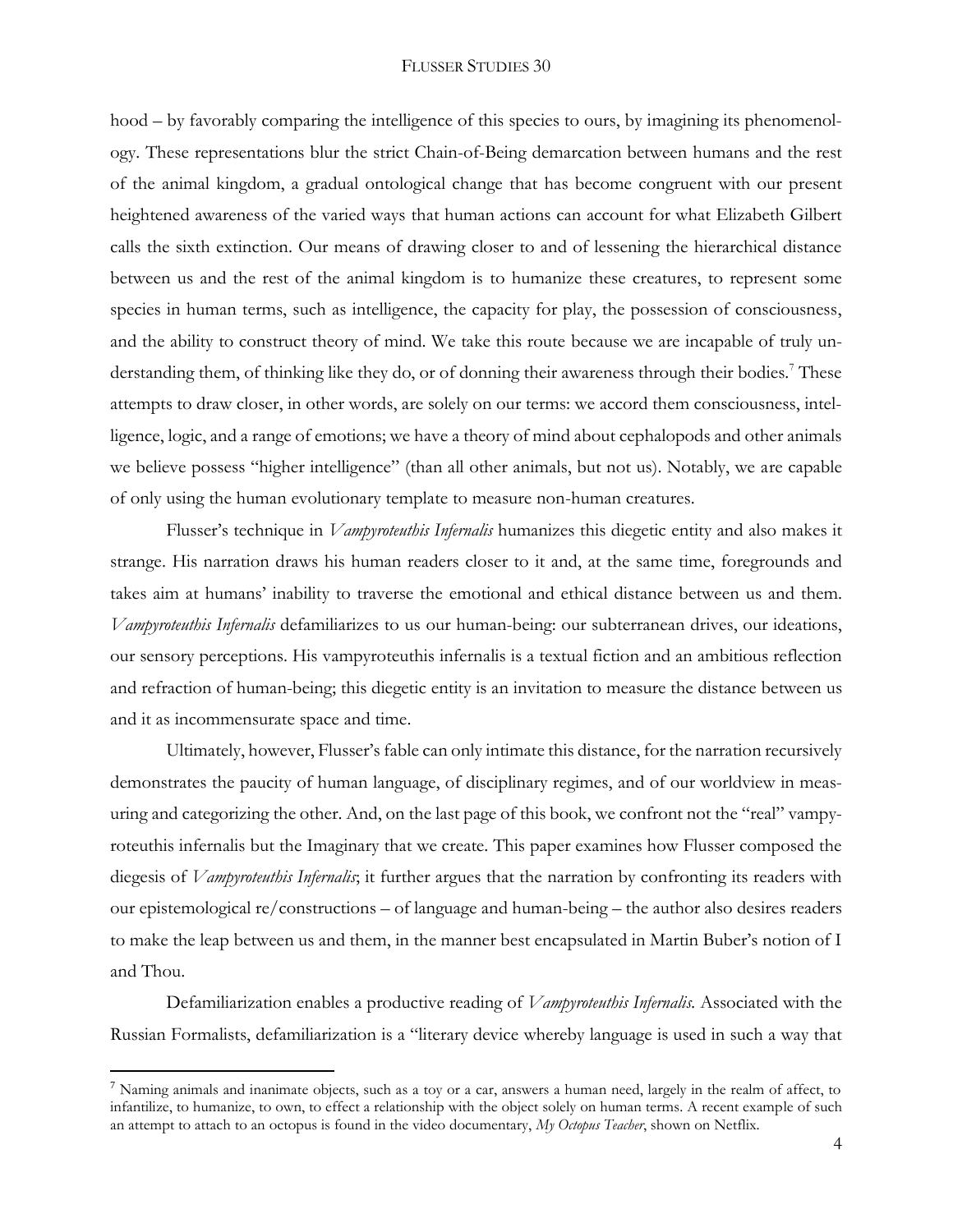#### FLUSSER STUDIES 30

hood – by favorably comparing the intelligence of this species to ours, by imagining its phenomenology. These representations blur the strict Chain-of-Being demarcation between humans and the rest of the animal kingdom, a gradual ontological change that has become congruent with our present heightened awareness of the varied ways that human actions can account for what Elizabeth Gilbert calls the sixth extinction. Our means of drawing closer to and of lessening the hierarchical distance between us and the rest of the animal kingdom is to humanize these creatures, to represent some species in human terms, such as intelligence, the capacity for play, the possession of consciousness, and the ability to construct theory of mind. We take this route because we are incapable of truly understanding them, of thinking like they do, or of donning their awareness through their bodies.<sup>7</sup> These attempts to draw closer, in other words, are solely on our terms: we accord them consciousness, intelligence, logic, and a range of emotions; we have a theory of mind about cephalopods and other animals we believe possess "higher intelligence" (than all other animals, but not us). Notably, we are capable of only using the human evolutionary template to measure non-human creatures.

Flusser's technique in *Vampyroteuthis Infernalis* humanizes this diegetic entity and also makes it strange. His narration draws his human readers closer to it and, at the same time, foregrounds and takes aim at humans' inability to traverse the emotional and ethical distance between us and them. *Vampyroteuthis Infernalis* defamiliarizes to us our human-being: our subterranean drives, our ideations, our sensory perceptions. His vampyroteuthis infernalis is a textual fiction and an ambitious reflection and refraction of human-being; this diegetic entity is an invitation to measure the distance between us and it as incommensurate space and time.

Ultimately, however, Flusser's fable can only intimate this distance, for the narration recursively demonstrates the paucity of human language, of disciplinary regimes, and of our worldview in measuring and categorizing the other. And, on the last page of this book, we confront not the "real" vampyroteuthis infernalis but the Imaginary that we create. This paper examines how Flusser composed the diegesis of *Vampyroteuthis Infernalis*; it further argues that the narration by confronting its readers with our epistemological re/constructions – of language and human-being – the author also desires readers to make the leap between us and them, in the manner best encapsulated in Martin Buber's notion of I and Thou.

Defamiliarization enables a productive reading of *Vampyroteuthis Infernalis.* Associated with the Russian Formalists, defamiliarization is a "literary device whereby language is used in such a way that

 $^7$  Naming animals and inanimate objects, such as a toy or a car, answers a human need, largely in the realm of affect, to infantilize, to humanize, to own, to effect a relationship with the object solely on human terms. A recent example of such an attempt to attach to an octopus is found in the video documentary, *My Octopus Teacher*, shown on Netflix.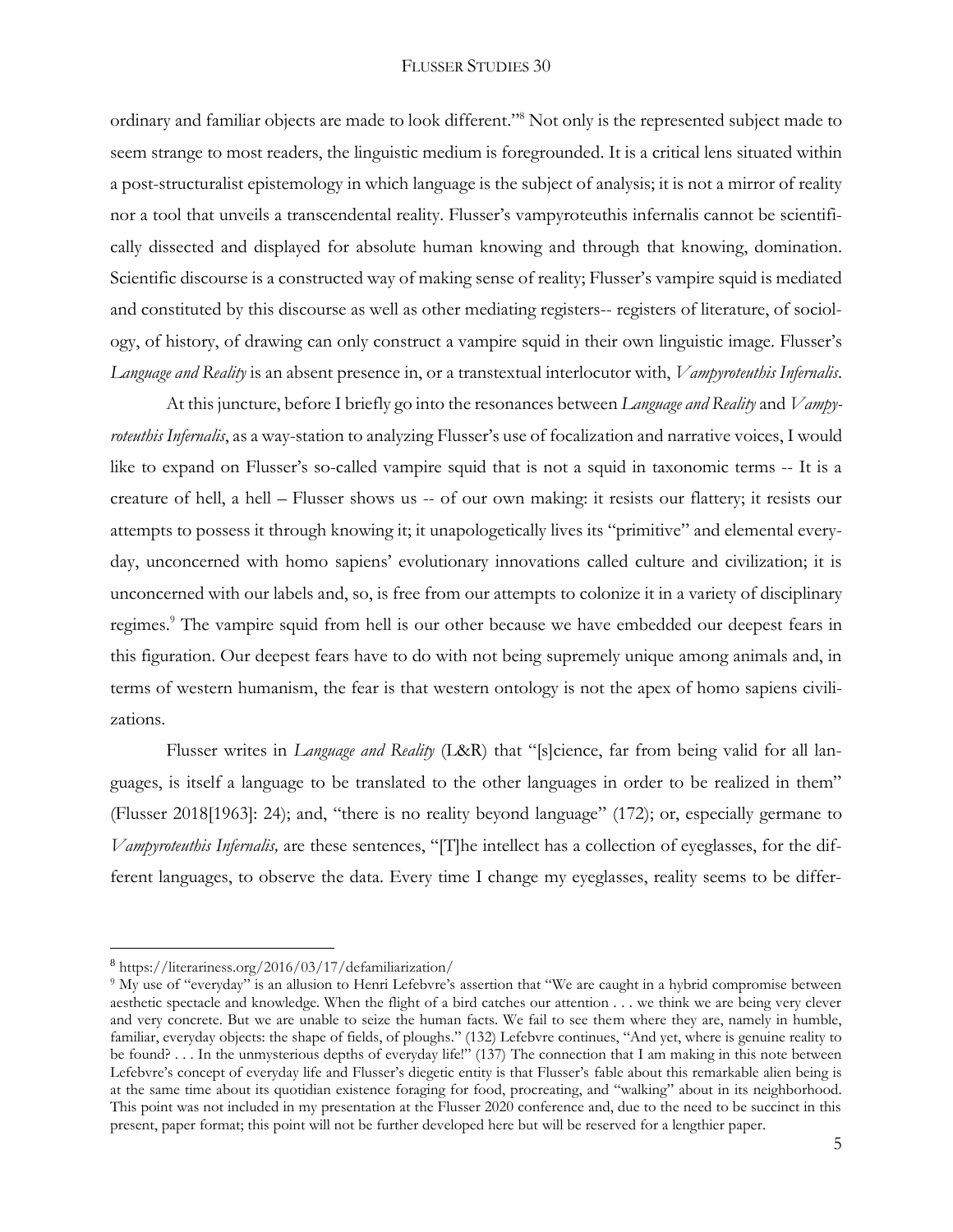ordinary and familiar objects are made to look different." <sup>8</sup> Not only is the represented subject made to seem strange to most readers, the linguistic medium is foregrounded. It is a critical lens situated within a post-structuralist epistemology in which language is the subject of analysis; it is not a mirror of reality nor a tool that unveils a transcendental reality. Flusser's vampyroteuthis infernalis cannot be scientifically dissected and displayed for absolute human knowing and through that knowing, domination. Scientific discourse is a constructed way of making sense of reality; Flusser's vampire squid is mediated and constituted by this discourse as well as other mediating registers-- registers of literature, of sociology, of history, of drawing can only construct a vampire squid in their own linguistic image. Flusser's *Language and Reality* is an absent presence in, or a transtextual interlocutor with, *Vampyroteuthis Infernalis*.

At this juncture, before I briefly go into the resonances between *Language and Reality* and *Vampyroteuthis Infernalis*, as a way-station to analyzing Flusser's use of focalization and narrative voices, I would like to expand on Flusser's so-called vampire squid that is not a squid in taxonomic terms -- It is a creature of hell, a hell – Flusser shows us -- of our own making: it resists our flattery; it resists our attempts to possess it through knowing it; it unapologetically lives its "primitive" and elemental everyday, unconcerned with homo sapiens' evolutionary innovations called culture and civilization; it is unconcerned with our labels and, so, is free from our attempts to colonize it in a variety of disciplinary regimes.<sup>9</sup> The vampire squid from hell is our other because we have embedded our deepest fears in this figuration. Our deepest fears have to do with not being supremely unique among animals and, in terms of western humanism, the fear is that western ontology is not the apex of homo sapiens civilizations.

Flusser writes in *Language and Reality* (L&R) that "[s]cience, far from being valid for all languages, is itself a language to be translated to the other languages in order to be realized in them" (Flusser 2018[1963]: 24); and, "there is no reality beyond language" (172); or, especially germane to *Vampyroteuthis Infernalis,* are these sentences, "[T]he intellect has a collection of eyeglasses, for the different languages, to observe the data. Every time I change my eyeglasses, reality seems to be differ-

<sup>8</sup> https://literariness.org/2016/03/17/defamiliarization/

<sup>&</sup>lt;sup>9</sup> My use of "everyday" is an allusion to Henri Lefebvre's assertion that "We are caught in a hybrid compromise between aesthetic spectacle and knowledge. When the flight of a bird catches our attention . . . we think we are being very clever and very concrete. But we are unable to seize the human facts. We fail to see them where they are, namely in humble, familiar, everyday objects: the shape of fields, of ploughs." (132) Lefebvre continues, "And yet, where is genuine reality to be found? . . In the unmysterious depths of everyday life!" (137) The connection that I am making in this note between Lefebvre's concept of everyday life and Flusser's diegetic entity is that Flusser's fable about this remarkable alien being is at the same time about its quotidian existence foraging for food, procreating, and "walking" about in its neighborhood. This point was not included in my presentation at the Flusser 2020 conference and, due to the need to be succinct in this present, paper format; this point will not be further developed here but will be reserved for a lengthier paper.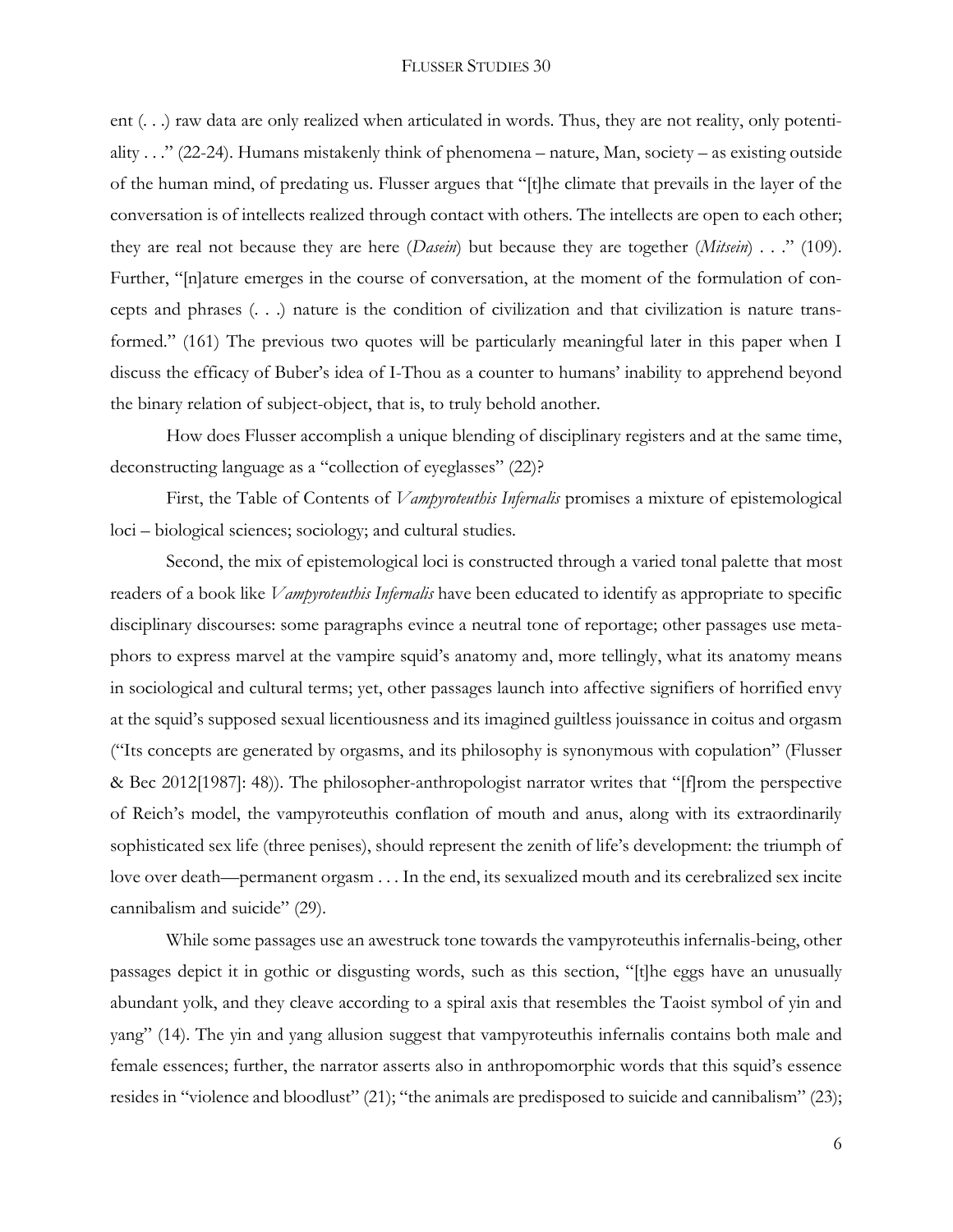ent (. . .) raw data are only realized when articulated in words. Thus, they are not reality, only potentiality . . ." (22-24). Humans mistakenly think of phenomena – nature, Man, society – as existing outside of the human mind, of predating us. Flusser argues that "[t]he climate that prevails in the layer of the conversation is of intellects realized through contact with others. The intellects are open to each other; they are real not because they are here (*Dasein*) but because they are together (*Mitsein*) . . ." (109). Further, "[n]ature emerges in the course of conversation, at the moment of the formulation of concepts and phrases (. . .) nature is the condition of civilization and that civilization is nature transformed." (161) The previous two quotes will be particularly meaningful later in this paper when I discuss the efficacy of Buber's idea of I-Thou as a counter to humans' inability to apprehend beyond the binary relation of subject-object, that is, to truly behold another.

How does Flusser accomplish a unique blending of disciplinary registers and at the same time, deconstructing language as a "collection of eyeglasses" (22)?

First, the Table of Contents of *Vampyroteuthis Infernalis* promises a mixture of epistemological loci – biological sciences; sociology; and cultural studies.

Second, the mix of epistemological loci is constructed through a varied tonal palette that most readers of a book like *Vampyroteuthis Infernalis* have been educated to identify as appropriate to specific disciplinary discourses: some paragraphs evince a neutral tone of reportage; other passages use metaphors to express marvel at the vampire squid's anatomy and, more tellingly, what its anatomy means in sociological and cultural terms; yet, other passages launch into affective signifiers of horrified envy at the squid's supposed sexual licentiousness and its imagined guiltless jouissance in coitus and orgasm ("Its concepts are generated by orgasms, and its philosophy is synonymous with copulation" (Flusser & Bec 2012[1987]: 48)). The philosopher-anthropologist narrator writes that "[f]rom the perspective of Reich's model, the vampyroteuthis conflation of mouth and anus, along with its extraordinarily sophisticated sex life (three penises), should represent the zenith of life's development: the triumph of love over death—permanent orgasm . . . In the end, its sexualized mouth and its cerebralized sex incite cannibalism and suicide" (29).

While some passages use an awestruck tone towards the vampyroteuthis infernalis-being, other passages depict it in gothic or disgusting words, such as this section, "[t]he eggs have an unusually abundant yolk, and they cleave according to a spiral axis that resembles the Taoist symbol of yin and yang" (14). The yin and yang allusion suggest that vampyroteuthis infernalis contains both male and female essences; further, the narrator asserts also in anthropomorphic words that this squid's essence resides in "violence and bloodlust" (21); "the animals are predisposed to suicide and cannibalism" (23);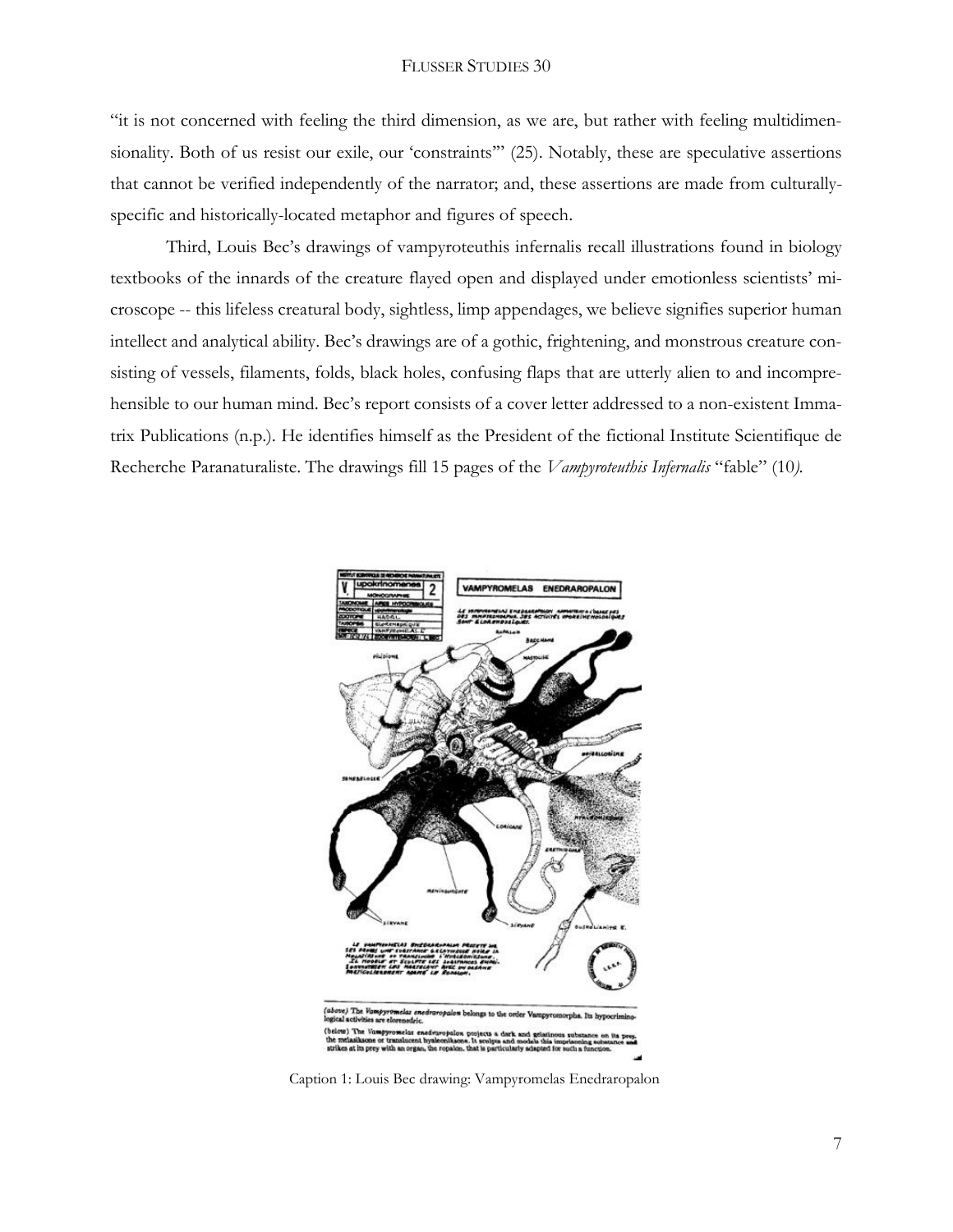"it is not concerned with feeling the third dimension, as we are, but rather with feeling multidimensionality. Both of us resist our exile, our 'constraints'" (25). Notably, these are speculative assertions that cannot be verified independently of the narrator; and, these assertions are made from culturallyspecific and historically-located metaphor and figures of speech.

Third, Louis Bec's drawings of vampyroteuthis infernalis recall illustrations found in biology textbooks of the innards of the creature flayed open and displayed under emotionless scientists' microscope -- this lifeless creatural body, sightless, limp appendages, we believe signifies superior human intellect and analytical ability. Bec's drawings are of a gothic, frightening, and monstrous creature consisting of vessels, filaments, folds, black holes, confusing flaps that are utterly alien to and incomprehensible to our human mind. Bec's report consists of a cover letter addressed to a non-existent Immatrix Publications (n.p.). He identifies himself as the President of the fictional Institute Scientifique de Recherche Paranaturaliste. The drawings fill 15 pages of the *Vampyroteuthis Infernalis* "fable" (10*).* 



Caption 1: Louis Bec drawing: Vampyromelas Enedraropalon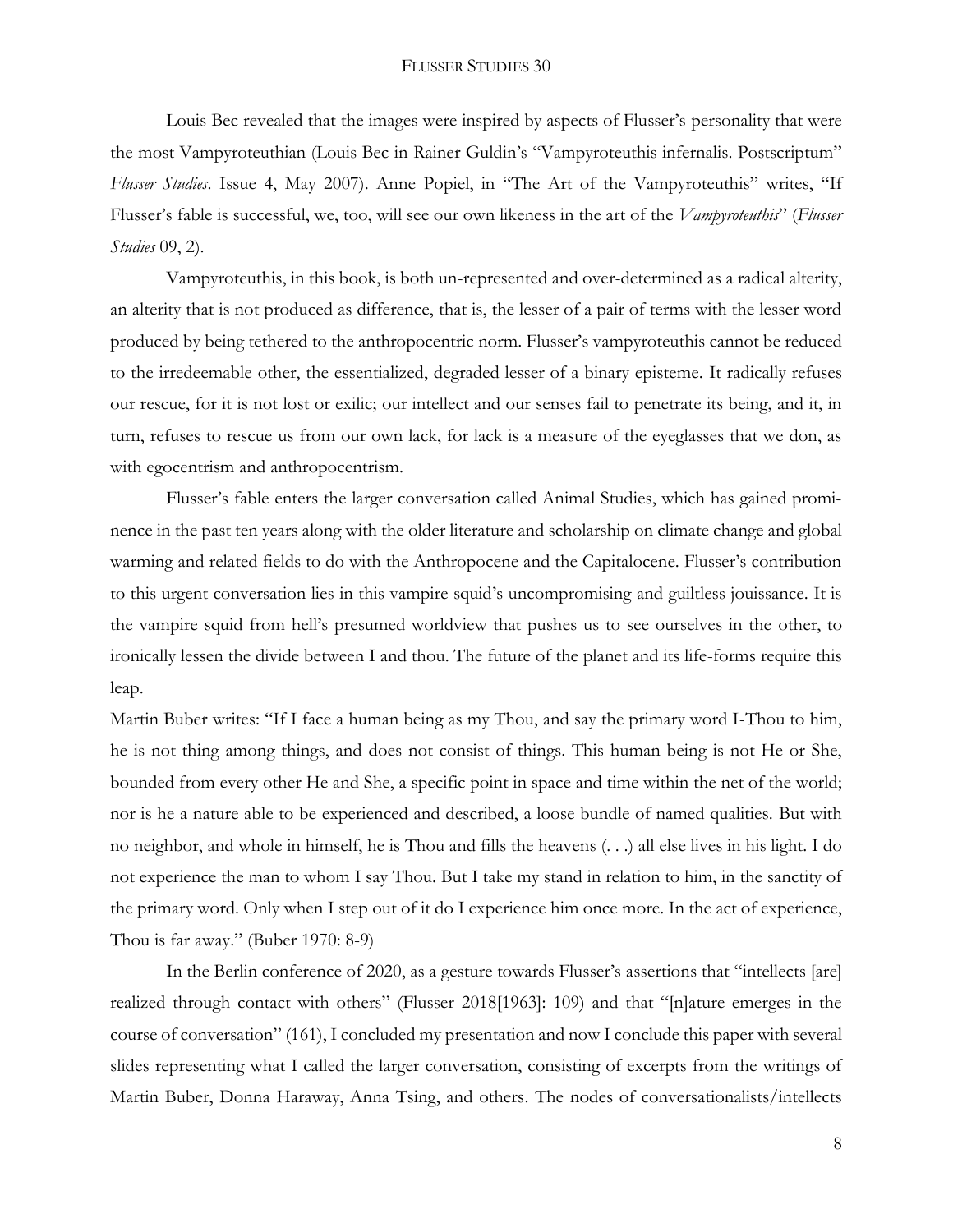Louis Bec revealed that the images were inspired by aspects of Flusser's personality that were the most Vampyroteuthian (Louis Bec in Rainer Guldin's "Vampyroteuthis infernalis. Postscriptum" *Flusser Studies*. Issue 4, May 2007). Anne Popiel, in "The Art of the Vampyroteuthis" writes, "If Flusser's fable is successful, we, too, will see our own likeness in the art of the *Vampyroteuthis*" (*Flusser Studies* 09, 2).

Vampyroteuthis, in this book, is both un-represented and over-determined as a radical alterity, an alterity that is not produced as difference, that is, the lesser of a pair of terms with the lesser word produced by being tethered to the anthropocentric norm. Flusser's vampyroteuthis cannot be reduced to the irredeemable other, the essentialized, degraded lesser of a binary episteme. It radically refuses our rescue, for it is not lost or exilic; our intellect and our senses fail to penetrate its being, and it, in turn, refuses to rescue us from our own lack, for lack is a measure of the eyeglasses that we don, as with egocentrism and anthropocentrism.

Flusser's fable enters the larger conversation called Animal Studies, which has gained prominence in the past ten years along with the older literature and scholarship on climate change and global warming and related fields to do with the Anthropocene and the Capitalocene. Flusser's contribution to this urgent conversation lies in this vampire squid's uncompromising and guiltless jouissance. It is the vampire squid from hell's presumed worldview that pushes us to see ourselves in the other, to ironically lessen the divide between I and thou. The future of the planet and its life-forms require this leap.

Martin Buber writes: "If I face a human being as my Thou, and say the primary word I-Thou to him, he is not thing among things, and does not consist of things. This human being is not He or She, bounded from every other He and She, a specific point in space and time within the net of the world; nor is he a nature able to be experienced and described, a loose bundle of named qualities. But with no neighbor, and whole in himself, he is Thou and fills the heavens (. . .) all else lives in his light. I do not experience the man to whom I say Thou. But I take my stand in relation to him, in the sanctity of the primary word. Only when I step out of it do I experience him once more. In the act of experience, Thou is far away." (Buber 1970: 8-9)

In the Berlin conference of 2020, as a gesture towards Flusser's assertions that "intellects [are] realized through contact with others" (Flusser 2018[1963]: 109) and that "[n]ature emerges in the course of conversation" (161), I concluded my presentation and now I conclude this paper with several slides representing what I called the larger conversation, consisting of excerpts from the writings of Martin Buber, Donna Haraway, Anna Tsing, and others. The nodes of conversationalists/intellects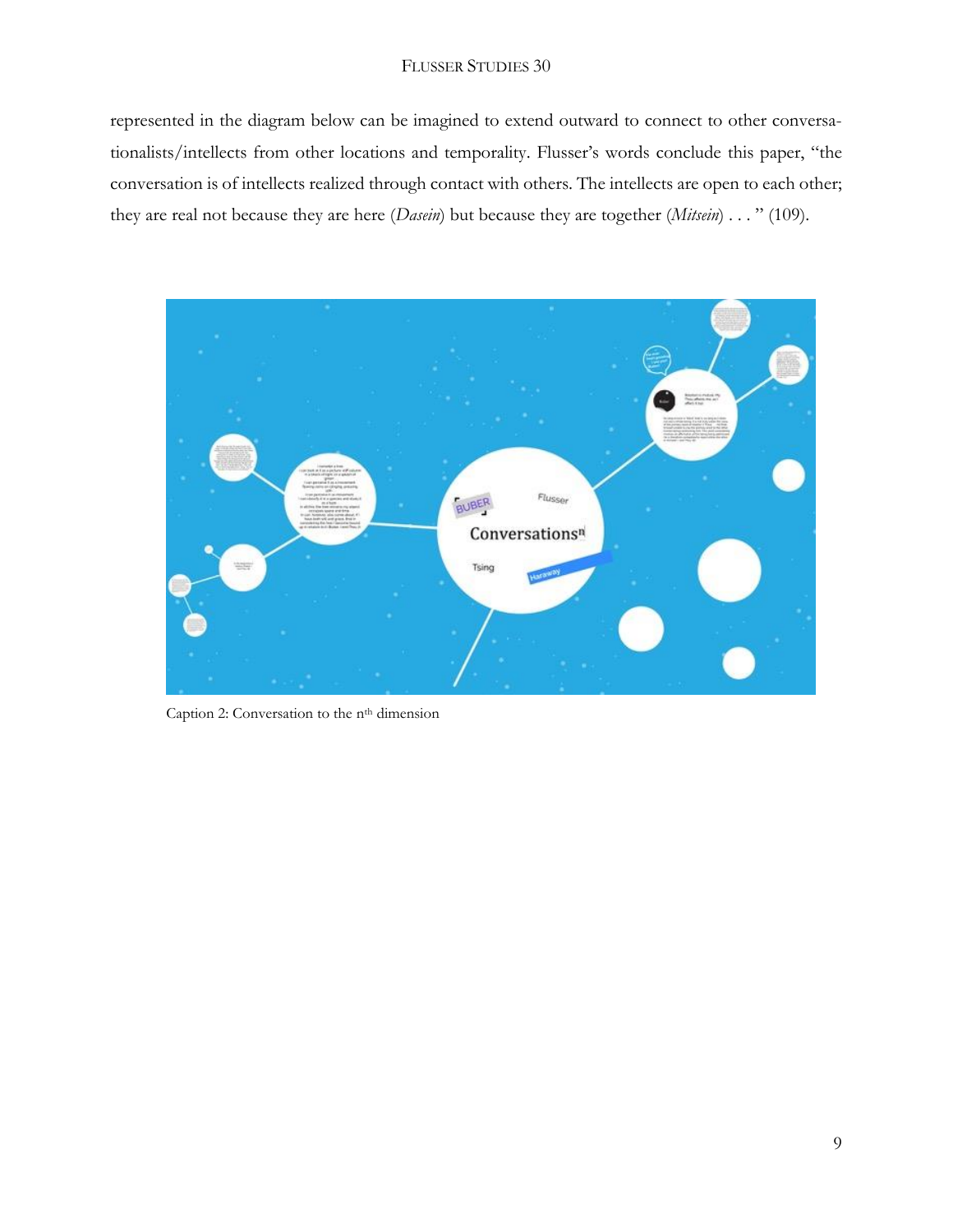### FLUSSER STUDIES 30

represented in the diagram below can be imagined to extend outward to connect to other conversationalists/intellects from other locations and temporality. Flusser's words conclude this paper, "the conversation is of intellects realized through contact with others. The intellects are open to each other; they are real not because they are here (*Dasein*) but because they are together (*Mitsein*) . . . " (109).



Caption 2: Conversation to the n<sup>th</sup> dimension